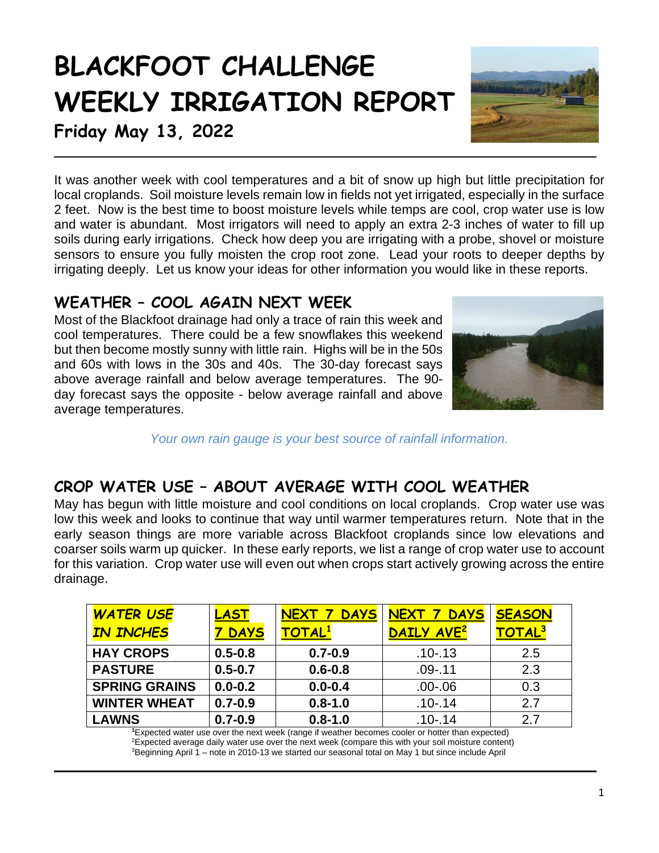# **BLACKFOOT CHALLENGE WEEKLY IRRIGATION REPORT**



**Friday May 13, 2022**

It was another week with cool temperatures and a bit of snow up high but little precipitation for local croplands. Soil moisture levels remain low in fields not yet irrigated, especially in the surface 2 feet. Now is the best time to boost moisture levels while temps are cool, crop water use is low and water is abundant. Most irrigators will need to apply an extra 2-3 inches of water to fill up soils during early irrigations. Check how deep you are irrigating with a probe, shovel or moisture sensors to ensure you fully moisten the crop root zone. Lead your roots to deeper depths by irrigating deeply. Let us know your ideas for other information you would like in these reports.

# **WEATHER – COOL AGAIN NEXT WEEK**

Most of the Blackfoot drainage had only a trace of rain this week and cool temperatures. There could be a few snowflakes this weekend but then become mostly sunny with little rain. Highs will be in the 50s and 60s with lows in the 30s and 40s. The 30-day forecast says above average rainfall and below average temperatures. The 90 day forecast says the opposite - below average rainfall and above average temperatures.



*Your own rain gauge is your best source of rainfall information.*

# **CROP WATER USE – ABOUT AVERAGE WITH COOL WEATHER**

May has begun with little moisture and cool conditions on local croplands. Crop water use was low this week and looks to continue that way until warmer temperatures return. Note that in the early season things are more variable across Blackfoot croplands since low elevations and coarser soils warm up quicker. In these early reports, we list a range of crop water use to account for this variation. Crop water use will even out when crops start actively growing across the entire drainage.

| <b>WATER USE</b>     | LAST        | <b>DAYS</b><br>NEXT 7 | NEXT 7<br><b>DAYS</b>  | <b>SEASON</b>      |
|----------------------|-------------|-----------------------|------------------------|--------------------|
| <b>IN INCHES</b>     | <b>DAYS</b> | <b>TOTAL1</b>         | DAILY AVE <sup>2</sup> | TOTAL <sup>3</sup> |
| <b>HAY CROPS</b>     | $0.5 - 0.8$ | $0.7 - 0.9$           | $.10 - .13$            | 2.5                |
| <b>PASTURE</b>       | $0.5 - 0.7$ | $0.6 - 0.8$           | $.09 - .11$            | 2.3                |
| <b>SPRING GRAINS</b> | $0.0 - 0.2$ | $0.0 - 0.4$           | $.00 - .06$            | 0.3                |
| <b>WINTER WHEAT</b>  | $0.7 - 0.9$ | $0.8 - 1.0$           | $.10 - .14$            | 2.7                |
| <b>LAWNS</b>         | $0.7 - 0.9$ | $0.8 - 1.0$           | $.10 - .14$            | 2.7                |

**1** Expected water use over the next week (range if weather becomes cooler or hotter than expected) 2 Expected average daily water use over the next week (compare this with your soil moisture content) <sup>3</sup>Beginning April 1 – note in 2010-13 we started our seasonal total on May 1 but since include April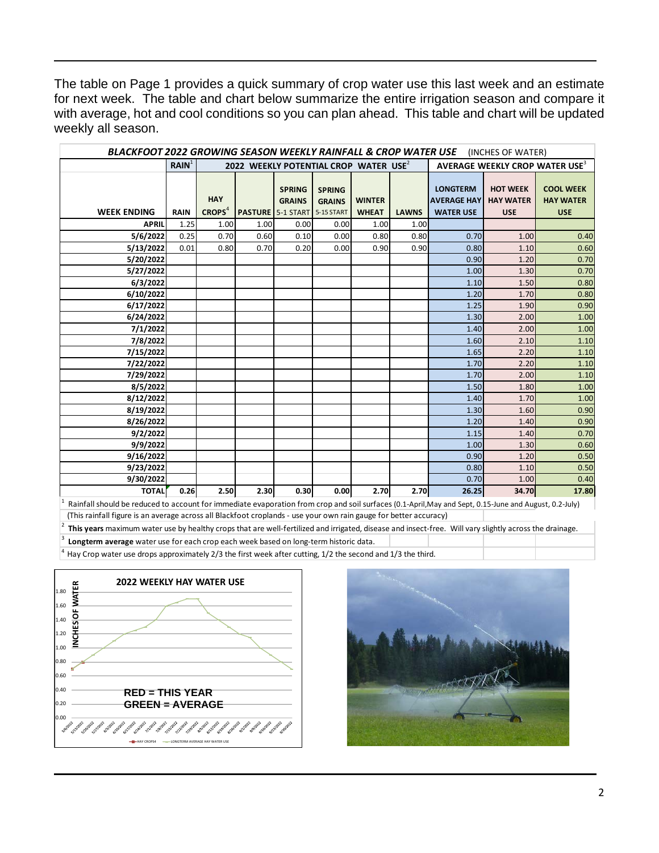The table on Page 1 provides a quick summary of crop water use this last week and an estimate for next week. The table and chart below summarize the entire irrigation season and compare it with average, hot and cool conditions so you can plan ahead. This table and chart will be updated weekly all season.

| <b>BLACKFOOT 2022 GROWING SEASON WEEKLY RAINFALL &amp; CROP WATER USE</b> (INCHES OF WATER) |                   |                                                   |      |                                |                                |               |              |                                            |                                     |                                      |  |
|---------------------------------------------------------------------------------------------|-------------------|---------------------------------------------------|------|--------------------------------|--------------------------------|---------------|--------------|--------------------------------------------|-------------------------------------|--------------------------------------|--|
|                                                                                             | RAIN <sup>1</sup> | 2022 WEEKLY POTENTIAL CROP WATER USE <sup>2</sup> |      |                                |                                |               |              | AVERAGE WEEKLY CROP WATER USE <sup>3</sup> |                                     |                                      |  |
|                                                                                             |                   | <b>HAY</b>                                        |      | <b>SPRING</b><br><b>GRAINS</b> | <b>SPRING</b><br><b>GRAINS</b> | <b>WINTER</b> |              | <b>LONGTERM</b><br><b>AVERAGE HAY</b>      | <b>HOT WEEK</b><br><b>HAY WATER</b> | <b>COOL WEEK</b><br><b>HAY WATER</b> |  |
| <b>WEEK ENDING</b>                                                                          | <b>RAIN</b>       | CROPS <sup>4</sup>                                |      | <b>PASTURE</b> 5-1 START       | 5-15 START                     | <b>WHEAT</b>  | <b>LAWNS</b> | <b>WATER USE</b>                           | <b>USE</b>                          | <b>USE</b>                           |  |
| <b>APRIL</b>                                                                                | 1.25              | 1.00                                              | 1.00 | 0.00                           | 0.00                           | 1.00          | 1.00         |                                            |                                     |                                      |  |
| 5/6/2022                                                                                    | 0.25              | 0.70                                              | 0.60 | 0.10                           | 0.00                           | 0.80          | 0.80         | 0.70                                       | 1.00                                | 0.40                                 |  |
| 5/13/2022                                                                                   | 0.01              | 0.80                                              | 0.70 | 0.20                           | 0.00                           | 0.90          | 0.90         | 0.80                                       | 1.10                                | 0.60                                 |  |
| 5/20/2022                                                                                   |                   |                                                   |      |                                |                                |               |              | 0.90                                       | 1.20                                | 0.70                                 |  |
| 5/27/2022                                                                                   |                   |                                                   |      |                                |                                |               |              | 1.00                                       | 1.30                                | 0.70                                 |  |
| 6/3/2022                                                                                    |                   |                                                   |      |                                |                                |               |              | 1.10                                       | 1.50                                | 0.80                                 |  |
| 6/10/2022                                                                                   |                   |                                                   |      |                                |                                |               |              | 1.20                                       | 1.70                                | 0.80                                 |  |
| 6/17/2022                                                                                   |                   |                                                   |      |                                |                                |               |              | 1.25                                       | 1.90                                | 0.90                                 |  |
| 6/24/2022                                                                                   |                   |                                                   |      |                                |                                |               |              | 1.30                                       | 2.00                                | 1.00                                 |  |
| 7/1/2022                                                                                    |                   |                                                   |      |                                |                                |               |              | 1.40                                       | 2.00                                | 1.00                                 |  |
| 7/8/2022                                                                                    |                   |                                                   |      |                                |                                |               |              | 1.60                                       | 2.10                                | 1.10                                 |  |
| 7/15/2022                                                                                   |                   |                                                   |      |                                |                                |               |              | 1.65                                       | 2.20                                | 1.10                                 |  |
| 7/22/2022                                                                                   |                   |                                                   |      |                                |                                |               |              | 1.70                                       | 2.20                                | 1.10                                 |  |
| 7/29/2022                                                                                   |                   |                                                   |      |                                |                                |               |              | 1.70                                       | 2.00                                | 1.10                                 |  |
| 8/5/2022                                                                                    |                   |                                                   |      |                                |                                |               |              | 1.50                                       | 1.80                                | 1.00                                 |  |
| 8/12/2022                                                                                   |                   |                                                   |      |                                |                                |               |              | 1.40                                       | 1.70                                | 1.00                                 |  |
| 8/19/2022                                                                                   |                   |                                                   |      |                                |                                |               |              | 1.30                                       | 1.60                                | 0.90                                 |  |
| 8/26/2022                                                                                   |                   |                                                   |      |                                |                                |               |              | 1.20                                       | 1.40                                | 0.90                                 |  |
| 9/2/2022                                                                                    |                   |                                                   |      |                                |                                |               |              | 1.15                                       | 1.40                                | 0.70                                 |  |
| 9/9/2022                                                                                    |                   |                                                   |      |                                |                                |               |              | 1.00                                       | 1.30                                | 0.60                                 |  |
| 9/16/2022                                                                                   |                   |                                                   |      |                                |                                |               |              | 0.90                                       | 1.20                                | 0.50                                 |  |
| 9/23/2022                                                                                   |                   |                                                   |      |                                |                                |               |              | 0.80                                       | 1.10                                | 0.50                                 |  |
| 9/30/2022                                                                                   |                   |                                                   |      |                                |                                |               |              | 0.70                                       | 1.00                                | 0.40                                 |  |
| <b>TOTAL</b>                                                                                | 0.26              | 2.50                                              | 2.30 | 0.30                           | 0.00                           | 2.70          | 2.70         | 26.25                                      | 34.70                               | 17.80                                |  |

1 Rainfall should be reduced to account for immediate evaporation from crop and soil surfaces (0.1-April,May and Sept, 0.15-June and August, 0.2-July) (This rainfall figure is an average across all Blackfoot croplands - use your own rain gauge for better accuracy)

2 **This years** maximum water use by healthy crops that are well-fertilized and irrigated, disease and insect-free. Will vary slightly across the drainage.

Longterm average water use for each crop each week based on long-term historic data.

 $<sup>4</sup>$  Hay Crop water use drops approximately 2/3 the first week after cutting, 1/2 the second and 1/3 the third.</sup>



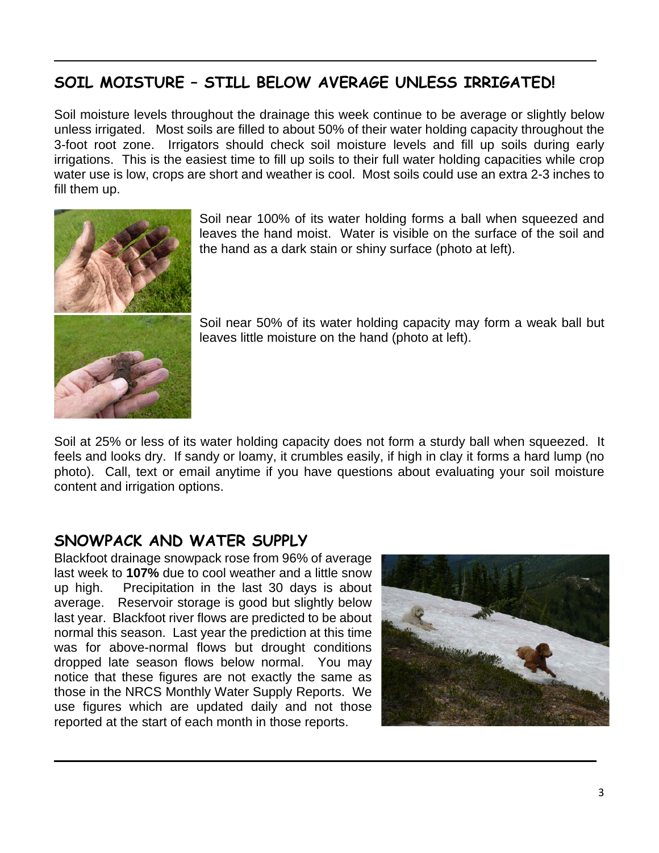# **SOIL MOISTURE – STILL BELOW AVERAGE UNLESS IRRIGATED!**

Soil moisture levels throughout the drainage this week continue to be average or slightly below unless irrigated. Most soils are filled to about 50% of their water holding capacity throughout the 3-foot root zone. Irrigators should check soil moisture levels and fill up soils during early irrigations. This is the easiest time to fill up soils to their full water holding capacities while crop water use is low, crops are short and weather is cool. Most soils could use an extra 2-3 inches to fill them up.



Soil near 100% of its water holding forms a ball when squeezed and leaves the hand moist. Water is visible on the surface of the soil and the hand as a dark stain or shiny surface (photo at left).

Soil near 50% of its water holding capacity may form a weak ball but leaves little moisture on the hand (photo at left).

Soil at 25% or less of its water holding capacity does not form a sturdy ball when squeezed. It feels and looks dry. If sandy or loamy, it crumbles easily, if high in clay it forms a hard lump (no photo). Call, text or email anytime if you have questions about evaluating your soil moisture content and irrigation options.

## **SNOWPACK AND WATER SUPPLY**

Blackfoot drainage snowpack rose from 96% of average last week to **107%** due to cool weather and a little snow up high. Precipitation in the last 30 days is about average. Reservoir storage is good but slightly below last year. Blackfoot river flows are predicted to be about normal this season. Last year the prediction at this time was for above-normal flows but drought conditions dropped late season flows below normal. You may notice that these figures are not exactly the same as those in the NRCS Monthly Water Supply Reports. We use figures which are updated daily and not those reported at the start of each month in those reports.

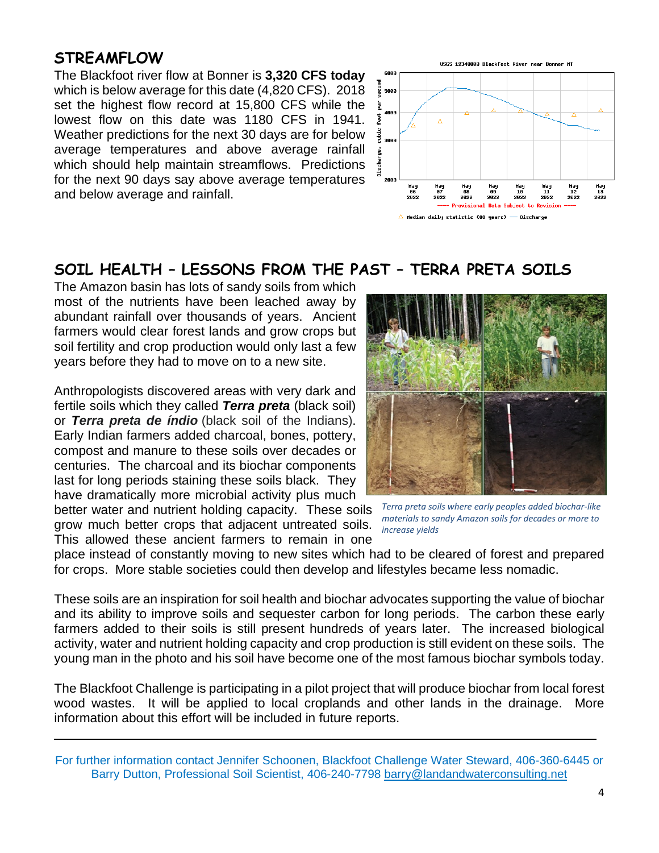## **STREAMFLOW**

The Blackfoot river flow at Bonner is **3,320 CFS today** which is below average for this date (4,820 CFS). 2018 set the highest flow record at 15,800 CFS while the lowest flow on this date was 1180 CFS in 1941. Weather predictions for the next 30 days are for below average temperatures and above average rainfall which should help maintain streamflows. Predictions for the next 90 days say above average temperatures and below average and rainfall.



# **SOIL HEALTH – LESSONS FROM THE PAST – TERRA PRETA SOILS**

The Amazon basin has lots of sandy soils from which most of the nutrients have been leached away by abundant rainfall over thousands of years. Ancient farmers would clear forest lands and grow crops but soil fertility and crop production would only last a few years before they had to move on to a new site.

Anthropologists discovered areas with very dark and fertile soils which they called *Terra preta* (black soil) or *Terra preta de índio* (black soil of the Indians). Early Indian farmers added charcoal, bones, pottery, compost and manure to these soils over decades or centuries. The charcoal and its biochar components last for long periods staining these soils black. They have dramatically more microbial activity plus much

better water and nutrient holding capacity. These soils grow much better crops that adjacent untreated soils. This allowed these ancient farmers to remain in one



*Terra preta soils where early peoples added biochar-like materials to sandy Amazon soils for decades or more to increase yields*

place instead of constantly moving to new sites which had to be cleared of forest and prepared for crops. More stable societies could then develop and lifestyles became less nomadic.

These soils are an inspiration for soil health and biochar advocates supporting the value of biochar and its ability to improve soils and sequester carbon for long periods. The carbon these early farmers added to their soils is still present hundreds of years later. The increased biological activity, water and nutrient holding capacity and crop production is still evident on these soils. The young man in the photo and his soil have become one of the most famous biochar symbols today.

The Blackfoot Challenge is participating in a pilot project that will produce biochar from local forest wood wastes. It will be applied to local croplands and other lands in the drainage. More information about this effort will be included in future reports.

For further information contact Jennifer Schoonen, Blackfoot Challenge Water Steward, 406-360-6445 or Barry Dutton, Professional Soil Scientist, 406-240-7798 [barry@landandwaterconsulting.net](mailto:barry@landandwaterconsulting.net)